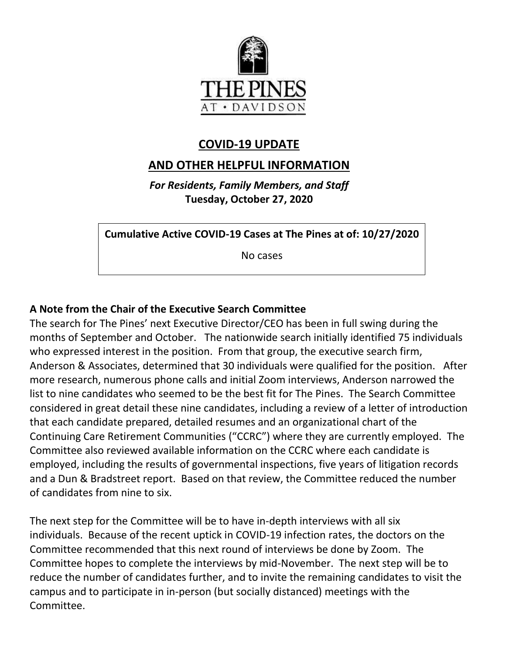

# **COVID-19 UPDATE**

# **AND OTHER HELPFUL INFORMATION**

*For Residents, Family Members, and Staff* **Tuesday, October 27, 2020**

**Cumulative Active COVID-19 Cases at The Pines at of: 10/27/2020**

No cases

## **A Note from the Chair of the Executive Search Committee**

The search for The Pines' next Executive Director/CEO has been in full swing during the months of September and October. The nationwide search initially identified 75 individuals who expressed interest in the position. From that group, the executive search firm, Anderson & Associates, determined that 30 individuals were qualified for the position. After more research, numerous phone calls and initial Zoom interviews, Anderson narrowed the list to nine candidates who seemed to be the best fit for The Pines. The Search Committee considered in great detail these nine candidates, including a review of a letter of introduction that each candidate prepared, detailed resumes and an organizational chart of the Continuing Care Retirement Communities ("CCRC") where they are currently employed. The Committee also reviewed available information on the CCRC where each candidate is employed, including the results of governmental inspections, five years of litigation records and a Dun & Bradstreet report. Based on that review, the Committee reduced the number of candidates from nine to six.

The next step for the Committee will be to have in-depth interviews with all six individuals. Because of the recent uptick in COVID-19 infection rates, the doctors on the Committee recommended that this next round of interviews be done by Zoom. The Committee hopes to complete the interviews by mid-November. The next step will be to reduce the number of candidates further, and to invite the remaining candidates to visit the campus and to participate in in-person (but socially distanced) meetings with the Committee.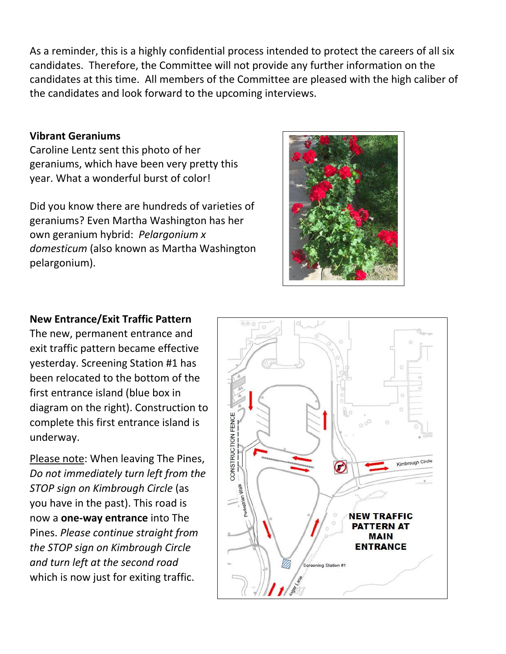As a reminder, this is a highly confidential process intended to protect the careers of all six candidates. Therefore, the Committee will not provide any further information on the candidates at this time. All members of the Committee are pleased with the high caliber of the candidates and look forward to the upcoming interviews.

### **Vibrant Geraniums**

Caroline Lentz sent this photo of her geraniums, which have been very pretty this year. What a wonderful burst of color!

Did you know there are hundreds of varieties of geraniums? Even Martha Washington has her own geranium hybrid: *Pelargonium x domesticum* (also known as Martha Washington pelargonium).



### **New Entrance/Exit Traffic Pattern**

The new, permanent entrance and exit traffic pattern became effective yesterday. Screening Station #1 has been relocated to the bottom of the first entrance island (blue box in diagram on the right). Construction to complete this first entrance island is underway.

Please note: When leaving The Pines, *Do not immediately turn left from the STOP sign on Kimbrough Circle* (as you have in the past). This road is now a **one-way entrance** into The Pines. *Please continue straight from the STOP sign on Kimbrough Circle and turn left at the second road*  which is now just for exiting traffic.

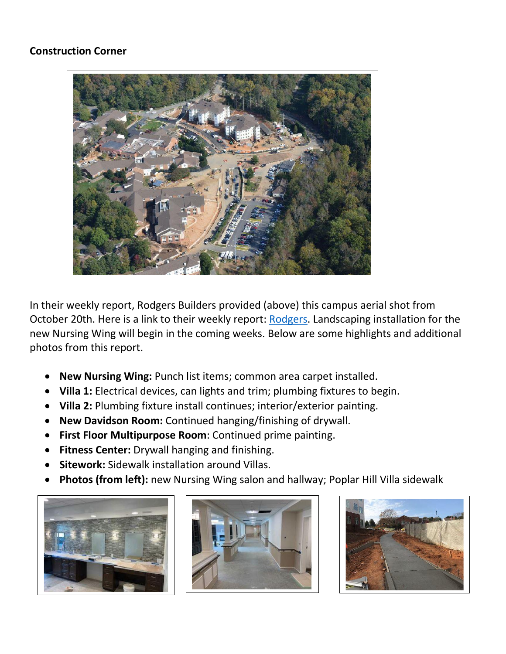### **Construction Corner**



In their weekly report, Rodgers Builders provided (above) this campus aerial shot from October 20th. Here is a link to their weekly report: [Rodgers.](https://www.mycommunity-center.com/filephotos/463/2020-10-23%20Weekly%20Update.pdf) Landscaping installation for the new Nursing Wing will begin in the coming weeks. Below are some highlights and additional photos from this report.

- **New Nursing Wing:** Punch list items; common area carpet installed.
- **Villa 1:** Electrical devices, can lights and trim; plumbing fixtures to begin.
- **Villa 2:** Plumbing fixture install continues; interior/exterior painting.
- **New Davidson Room:** Continued hanging/finishing of drywall.
- **First Floor Multipurpose Room**: Continued prime painting.
- **Fitness Center:** Drywall hanging and finishing.
- **Sitework:** Sidewalk installation around Villas.
- **Photos (from left):** new Nursing Wing salon and hallway; Poplar Hill Villa sidewalk